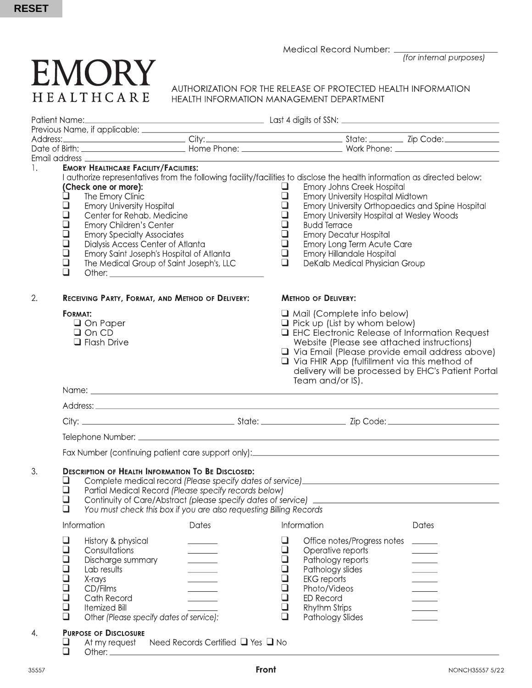Medical Record Number:

(for internal purposes)

# **EMORY** HEALTHCARE

AUTHORIZATION FOR THE RELEASE OF PROTECTED HEALTH INFORMATION HEALTH INFORMATION MANAGEMENT DEPARTMENT

|                                                                                                    | Email address ____________________                                                                                                                                                                                                                                                                                                                             |                                             |                                                                                                                                                                                                                                                                                                                                                                            |                                                                                                                                                                                                                                                                                                                                                                                                                                                   |                          |  |
|----------------------------------------------------------------------------------------------------|----------------------------------------------------------------------------------------------------------------------------------------------------------------------------------------------------------------------------------------------------------------------------------------------------------------------------------------------------------------|---------------------------------------------|----------------------------------------------------------------------------------------------------------------------------------------------------------------------------------------------------------------------------------------------------------------------------------------------------------------------------------------------------------------------------|---------------------------------------------------------------------------------------------------------------------------------------------------------------------------------------------------------------------------------------------------------------------------------------------------------------------------------------------------------------------------------------------------------------------------------------------------|--------------------------|--|
| 1.<br>$\Box$<br>$\Box$<br>$\Box$<br>$\Box$<br>$\Box$<br>$\Box$<br>$\Box$<br>$\bar{\Box}$<br>$\Box$ | <b>EMORY HEALTHCARE FACILITY/FACILITIES:</b><br>(Check one or more):<br>The Emory Clinic<br><b>Emory University Hospital</b><br>Center for Rehab. Medicine<br><b>Emory Children's Center</b><br><b>Emory Specialty Associates</b><br>Dialysis Access Center of Atlanta<br>Emory Saint Joseph's Hospital of Atlanta<br>The Medical Group of Saint Joseph's, LLC |                                             | u<br>$\Box$<br>$\Box$<br>❏<br>❏<br>$\Box$<br>$\Box$                                                                                                                                                                                                                                                                                                                        | I authorize representatives from the following facility/facilities to disclose the health information as directed below:<br>Emory Johns Creek Hospital<br>Emory University Hospital Midtown<br>Emory University Orthopaedics and Spine Hospital<br>Emory University Hospital at Wesley Woods<br><b>Budd Terrace</b><br><b>Emory Decatur Hospital</b><br>Emory Long Term Acute Care<br>Emory Hillandale Hospital<br>DeKalb Medical Physician Group |                          |  |
| 2.                                                                                                 | RECEIVING PARTY, FORMAT, AND METHOD OF DELIVERY:                                                                                                                                                                                                                                                                                                               |                                             | <b>METHOD OF DELIVERY:</b>                                                                                                                                                                                                                                                                                                                                                 |                                                                                                                                                                                                                                                                                                                                                                                                                                                   |                          |  |
|                                                                                                    | <b>FORMAT:</b><br>$\Box$ On Paper<br>$\Box$ On CD<br>$\Box$ Flash Drive                                                                                                                                                                                                                                                                                        |                                             | $\Box$ Mail (Complete info below)<br>$\Box$ Pick up (List by whom below)<br><b>Q</b> EHC Electronic Release of Information Request<br>Website (Please see attached instructions)<br>$\Box$ Via Email (Please provide email address above)<br>$\Box$ Via FHIR App (fulfillment via this method of<br>delivery will be processed by EHC's Patient Portal<br>Team and/or IS). |                                                                                                                                                                                                                                                                                                                                                                                                                                                   |                          |  |
|                                                                                                    |                                                                                                                                                                                                                                                                                                                                                                |                                             |                                                                                                                                                                                                                                                                                                                                                                            |                                                                                                                                                                                                                                                                                                                                                                                                                                                   |                          |  |
|                                                                                                    |                                                                                                                                                                                                                                                                                                                                                                |                                             |                                                                                                                                                                                                                                                                                                                                                                            |                                                                                                                                                                                                                                                                                                                                                                                                                                                   |                          |  |
|                                                                                                    |                                                                                                                                                                                                                                                                                                                                                                |                                             |                                                                                                                                                                                                                                                                                                                                                                            |                                                                                                                                                                                                                                                                                                                                                                                                                                                   |                          |  |
|                                                                                                    |                                                                                                                                                                                                                                                                                                                                                                |                                             |                                                                                                                                                                                                                                                                                                                                                                            |                                                                                                                                                                                                                                                                                                                                                                                                                                                   |                          |  |
|                                                                                                    |                                                                                                                                                                                                                                                                                                                                                                |                                             |                                                                                                                                                                                                                                                                                                                                                                            |                                                                                                                                                                                                                                                                                                                                                                                                                                                   |                          |  |
| 3.<br>⊔<br>$\Box$<br>$\Box$<br>$\Box$                                                              | <b>DESCRIPTION OF HEALTH INFORMATION TO BE DISCLOSED:</b><br>Partial Medical Record (Please specify records below)<br>Continuity of Care/Abstract (please specify dates of service)<br>You must check this box if you are also requesting Billing Records                                                                                                      |                                             |                                                                                                                                                                                                                                                                                                                                                                            |                                                                                                                                                                                                                                                                                                                                                                                                                                                   |                          |  |
|                                                                                                    | Information                                                                                                                                                                                                                                                                                                                                                    | Dates                                       |                                                                                                                                                                                                                                                                                                                                                                            | Information                                                                                                                                                                                                                                                                                                                                                                                                                                       | <b>Dates</b>             |  |
| $\Box$<br>$\Box$<br>$\Box$<br>00000<br>$\Box$                                                      | History & physical<br>Consultations<br>Discharge summary<br>Lab results<br>X-rays<br>CD/Films<br>Cath Record<br><b>Itemized Bill</b><br>Other (Please specify dates of service):                                                                                                                                                                               |                                             | ப<br>$\Box$<br>❏<br>⊔<br>❏<br>$\Box$<br>$\Box$<br>$\Box$<br>$\Box$                                                                                                                                                                                                                                                                                                         | Office notes/Progress notes<br>Operative reports<br>Pathology reports<br>Pathology slides<br><b>EKG</b> reports<br>Photo/Videos<br><b>ED Record</b><br>Rhythm Strips<br>Pathology Slides                                                                                                                                                                                                                                                          | $\overline{\phantom{a}}$ |  |
| 4.<br>⊔<br>$\Box$                                                                                  | <b>PURPOSE OF DISCLOSURE</b><br>At my request<br>Other: $\frac{1}{2}$                                                                                                                                                                                                                                                                                          | Need Records Certified $\Box$ Yes $\Box$ No |                                                                                                                                                                                                                                                                                                                                                                            |                                                                                                                                                                                                                                                                                                                                                                                                                                                   |                          |  |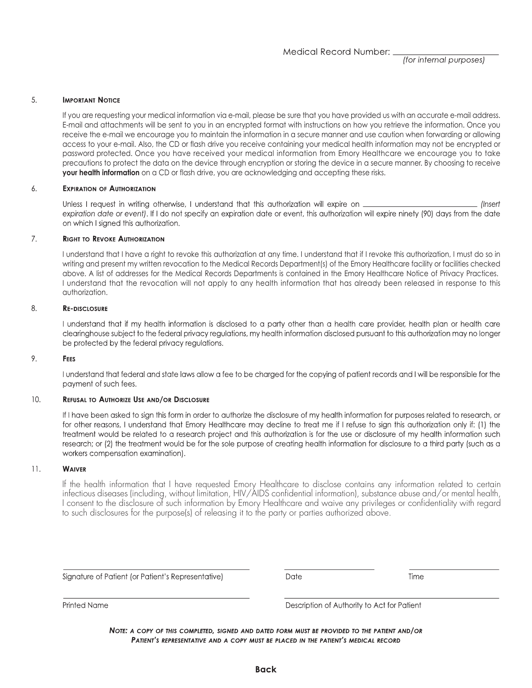(for internal purposes)

#### 5. **IMPORTANT NOTICE**

If you are requesting your medical information via e-mail, please be sure that you have provided us with an accurate e-mail address. E-mail and attachments will be sent to you in an encrypted format with instructions on how you retrieve the information. Once you receive the e-mail we encourage you to maintain the information in a secure manner and use caution when forwarding or allowing access to your e-mail. Also, the CD or flash drive you receive containing your medical health information may not be encrypted or password protected. Once you have received your medical information from Emory Healthcare we encourage you to take precautions to protect the data on the device through encryption or storing the device in a secure manner. By choosing to receive your health information on a CD or flash drive, you are acknowledging and accepting these risks.

#### 6. **EXPIRATION OF AUTHORIZATION**

Unless I request in writing otherwise, I understand that this authorization will expire on (Insert expiration date or event). If I do not specify an expiration date or event, this authorization will expire ninety (90) days from the date on which I signed this authorization.

#### $7.$ **RIGHT TO REVOKE AUTHORIZATION**

I understand that I have a right to revoke this authorization at any time. I understand that if I revoke this authorization, I must do so in writing and present my written revocation to the Medical Records Department(s) of the Emory Healthcare facility or facilities checked above. A list of addresses for the Medical Records Departments is contained in the Emory Healthcare Notice of Privacy Practices. I understand that the revocation will not apply to any health information that has already been released in response to this authorization.

#### 8. **RE-DISCLOSURE**

I understand that if my health information is disclosed to a party other than a health care provider, health plan or health care clearinghouse subject to the federal privacy regulations, my health information disclosed pursuant to this authorization may no longer be protected by the federal privacy regulations.

#### 9. FEES

I understand that federal and state laws allow a fee to be charged for the copying of patient records and I will be responsible for the payment of such fees.

#### $10.$ REFUSAL TO AUTHORIZE USE AND/OR DISCLOSURE

If I have been asked to sign this form in order to authorize the disclosure of my health information for purposes related to research, or for other reasons, I understand that Emory Healthcare may decline to treat me if I refuse to sign this authorization only if: (1) the treatment would be related to a research project and this authorization is for the use or disclosure of my health information such research; or (2) the treatment would be for the sole purpose of creating health information for disclosure to a third party (such as a workers compensation examination).

#### $11.$ **WAIVER**

If the health information that I have requested Emory Healthcare to disclose contains any information related to certain infectious diseases (including, without limitation, HIV/AIDS confidential information), substance abuse and/or mental health, I consent to the disclosure of such information by Emory Healthcare and waive any privileges or confidentiality with regard to such disclosures for the purpose(s) of releasing it to the party or parties authorized above.

Signature of Patient (or Patient's Representative)

**Date** 

Time

**Printed Name** 

Description of Authority to Act for Patient

NOTE: A COPY OF THIS COMPLETED, SIGNED AND DATED FORM MUST BE PROVIDED TO THE PATIENT AND/OR PATIENT'S REPRESENTATIVE AND A COPY MUST BE PLACED IN THE PATIENT'S MEDICAL RECORD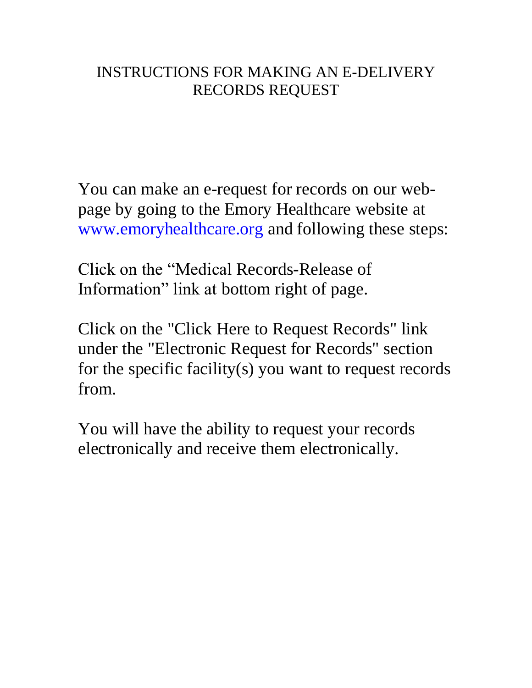## INSTRUCTIONS FOR MAKING AN E-DELIVERY RECORDS REQUEST

You can make an e-request for records on our webpage by going to the Emory Healthcare website at www.emoryhealthcare.org and following these steps:

Click on the "Medical Records-Release of Information" link at bottom right of page.

Click on the "Click Here to Request Records" link under the "Electronic Request for Records" section for the specific facility(s) you want to request records from.

You will have the ability to request your records electronically and receive them electronically.